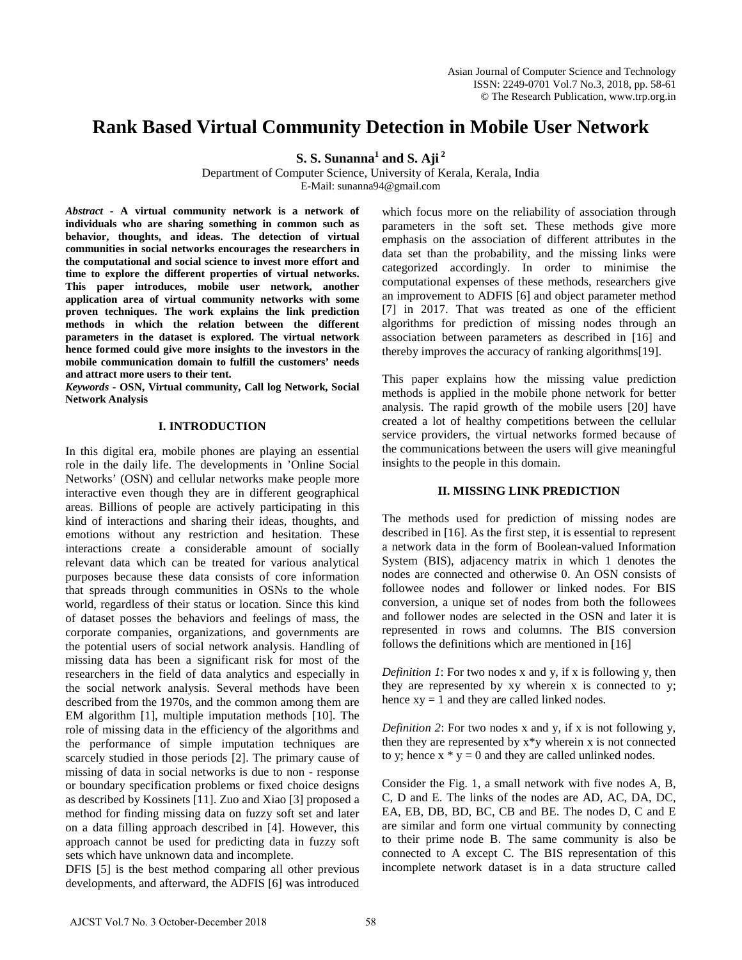# **Rank Based Virtual Community Detection in Mobile User Network**

**S. S. Sunanna<sup>1</sup> and <b>S.** Aji<sup>2</sup>

Department of Computer Science, University of Kerala, Kerala, India E-Mail: sunanna94@gmail.com

*Abstract* **- A virtual community network is a network of individuals who are sharing something in common such as behavior, thoughts, and ideas. The detection of virtual communities in social networks encourages the researchers in the computational and social science to invest more effort and time to explore the different properties of virtual networks. This paper introduces, mobile user network, another application area of virtual community networks with some proven techniques. The work explains the link prediction methods in which the relation between the different parameters in the dataset is explored. The virtual network hence formed could give more insights to the investors in the mobile communication domain to fulfill the customers' needs and attract more users to their tent.**

*Keywords -* **OSN, Virtual community, Call log Network, Social Network Analysis**

# **I. INTRODUCTION**

In this digital era, mobile phones are playing an essential role in the daily life. The developments in 'Online Social Networks' (OSN) and cellular networks make people more interactive even though they are in different geographical areas. Billions of people are actively participating in this kind of interactions and sharing their ideas, thoughts, and emotions without any restriction and hesitation. These interactions create a considerable amount of socially relevant data which can be treated for various analytical purposes because these data consists of core information that spreads through communities in OSNs to the whole world, regardless of their status or location. Since this kind of dataset posses the behaviors and feelings of mass, the corporate companies, organizations, and governments are the potential users of social network analysis. Handling of missing data has been a significant risk for most of the researchers in the field of data analytics and especially in the social network analysis. Several methods have been described from the 1970s, and the common among them are EM algorithm [1], multiple imputation methods [10]. The role of missing data in the efficiency of the algorithms and the performance of simple imputation techniques are scarcely studied in those periods [2]. The primary cause of missing of data in social networks is due to non - response or boundary specification problems or fixed choice designs as described by Kossinets [11]. Zuo and Xiao [3] proposed a method for finding missing data on fuzzy soft set and later on a data filling approach described in [4]. However, this approach cannot be used for predicting data in fuzzy soft sets which have unknown data and incomplete.

DFIS [5] is the best method comparing all other previous developments, and afterward, the ADFIS [6] was introduced

which focus more on the reliability of association through parameters in the soft set. These methods give more emphasis on the association of different attributes in the data set than the probability, and the missing links were categorized accordingly. In order to minimise the computational expenses of these methods, researchers give an improvement to ADFIS [6] and object parameter method [7] in 2017. That was treated as one of the efficient algorithms for prediction of missing nodes through an association between parameters as described in [16] and thereby improves the accuracy of ranking algorithms[19].

This paper explains how the missing value prediction methods is applied in the mobile phone network for better analysis. The rapid growth of the mobile users [20] have created a lot of healthy competitions between the cellular service providers, the virtual networks formed because of the communications between the users will give meaningful insights to the people in this domain.

# **II. MISSING LINK PREDICTION**

The methods used for prediction of missing nodes are described in [16]. As the first step, it is essential to represent a network data in the form of Boolean-valued Information System (BIS), adjacency matrix in which 1 denotes the nodes are connected and otherwise 0. An OSN consists of followee nodes and follower or linked nodes. For BIS conversion, a unique set of nodes from both the followees and follower nodes are selected in the OSN and later it is represented in rows and columns. The BIS conversion follows the definitions which are mentioned in [16]

*Definition 1*: For two nodes x and y, if x is following y, then they are represented by xy wherein x is connected to y; hence  $xy = 1$  and they are called linked nodes.

*Definition 2*: For two nodes x and y, if x is not following y, then they are represented by x\*y wherein x is not connected to y; hence  $x * y = 0$  and they are called unlinked nodes.

Consider the Fig. 1, a small network with five nodes A, B, C, D and E. The links of the nodes are AD, AC, DA, DC, EA, EB, DB, BD, BC, CB and BE. The nodes D, C and E are similar and form one virtual community by connecting to their prime node B. The same community is also be connected to A except C. The BIS representation of this incomplete network dataset is in a data structure called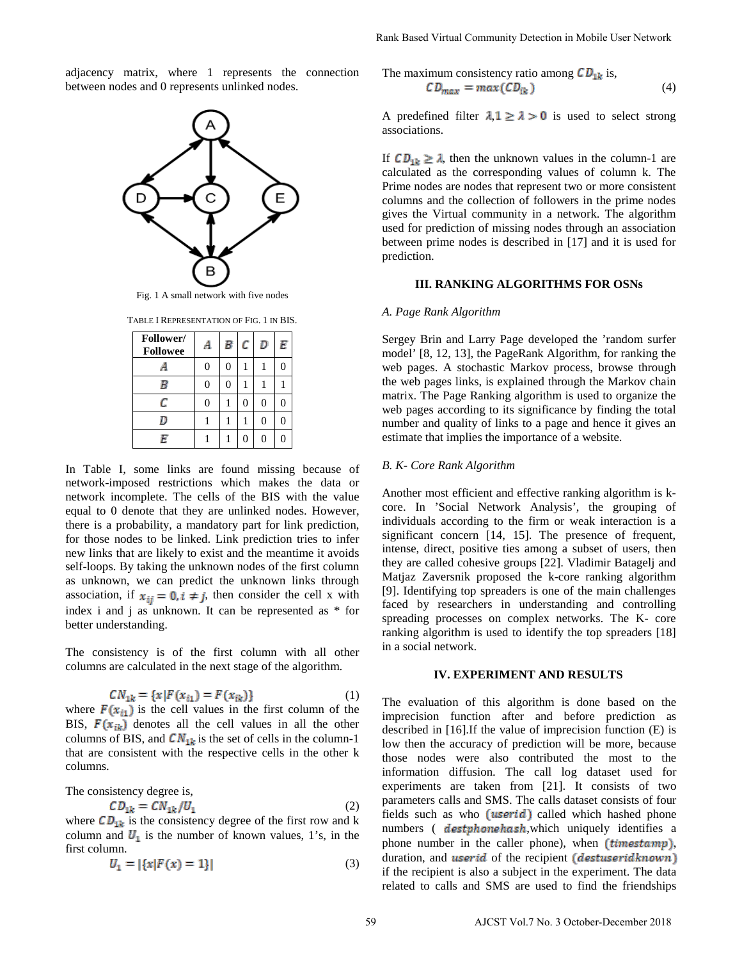adjacency matrix, where 1 represents the connection between nodes and 0 represents unlinked nodes.



Fig. 1 A small network with five nodes

TABLE I REPRESENTATION OF FIG. 1 IN BIS.

| Follower/<br><b>Followee</b> | A              | В              | с        | D        | E |
|------------------------------|----------------|----------------|----------|----------|---|
|                              | 0              | 0              | 1        |          |   |
| В                            | $\overline{0}$ | $\overline{0}$ | 1        |          |   |
| C                            | $\overline{0}$ |                | $\Omega$ | $\theta$ |   |
|                              |                |                |          | $\theta$ |   |
| Ę                            |                |                | $\Omega$ | $\theta$ |   |

In Table I, some links are found missing because of network-imposed restrictions which makes the data or network incomplete. The cells of the BIS with the value equal to 0 denote that they are unlinked nodes. However, there is a probability, a mandatory part for link prediction, for those nodes to be linked. Link prediction tries to infer new links that are likely to exist and the meantime it avoids self-loops. By taking the unknown nodes of the first column as unknown, we can predict the unknown links through association, if  $x_{ii} = 0$ ,  $i \neq j$ , then consider the cell x with index i and j as unknown. It can be represented as \* for better understanding.

The consistency is of the first column with all other columns are calculated in the next stage of the algorithm.

$$
CN_{1k} = \{x \mid F(x_{i1}) = F(x_{ik})\}
$$
 (1)

where  $F(x_{i1})$  is the cell values in the first column of the BIS,  $F(x_{ik})$  denotes all the cell values in all the other columns of BIS, and  $CN_{1k}$  is the set of cells in the column-1 that are consistent with the respective cells in the other k columns.

The consistency degree is,

$$
D_{1k} = CN_{1k}/U_1
$$
 (2)

where  $CD_{1k}$  is the consistency degree of the first row and k column and  $\mathbf{U}_1$  is the number of known values, 1's, in the first column.

$$
U_1 = |\{x|F(x) = 1\}| \tag{3}
$$

The maximum consistency ratio among 
$$
CD_{1k}
$$
 is,  
\n $CD_{max} = max(CD_{ik})$  (4)

A predefined filter  $\lambda \neq 1 \geq \lambda > 0$  is used to select strong associations.

If  $CD_{1k} \geq \lambda$ , then the unknown values in the column-1 are calculated as the corresponding values of column k. The Prime nodes are nodes that represent two or more consistent columns and the collection of followers in the prime nodes gives the Virtual community in a network. The algorithm used for prediction of missing nodes through an association between prime nodes is described in [17] and it is used for prediction.

#### **III. RANKING ALGORITHMS FOR OSNs**

#### *A. Page Rank Algorithm*

Sergey Brin and Larry Page developed the 'random surfer model' [8, 12, 13], the PageRank Algorithm, for ranking the web pages. A stochastic Markov process, browse through the web pages links, is explained through the Markov chain matrix. The Page Ranking algorithm is used to organize the web pages according to its significance by finding the total number and quality of links to a page and hence it gives an estimate that implies the importance of a website.

## *B. K- Core Rank Algorithm*

Another most efficient and effective ranking algorithm is kcore. In 'Social Network Analysis', the grouping of individuals according to the firm or weak interaction is a significant concern [14, 15]. The presence of frequent, intense, direct, positive ties among a subset of users, then they are called cohesive groups [22]. Vladimir Batagelj and Matjaz Zaversnik proposed the k-core ranking algorithm [9]. Identifying top spreaders is one of the main challenges faced by researchers in understanding and controlling spreading processes on complex networks. The K- core ranking algorithm is used to identify the top spreaders [18] in a social network.

## **IV. EXPERIMENT AND RESULTS**

The evaluation of this algorithm is done based on the imprecision function after and before prediction as described in [16].If the value of imprecision function (E) is low then the accuracy of prediction will be more, because those nodes were also contributed the most to the information diffusion. The call log dataset used for experiments are taken from [21]. It consists of two parameters calls and SMS. The calls dataset consists of four fields such as who  $[**userid**]$  called which hashed phone numbers ( destyhone hash, which uniquely identifies a phone number in the caller phone), when  $(\text{timestamp})$ , duration, and *userid* of the recipient *(destuseridknown)* if the recipient is also a subject in the experiment. The data related to calls and SMS are used to find the friendships Rank Based Virtual Community Detection in Mobile User Network<br>
The maximum consistency ratio arrows  $CD_{\text{max}}$  is used to select strong<br>  $CD_{\text{max}} = \max(CD_{\text{Re}})$ <br>  $\therefore CD_{\text{max}} = \max(CD_{\text{Re}})$ <br>  $\therefore CD_{\text{max}} = \max(CD_{\text{Re}})$ <br>  $\therefore BC_{\text{max$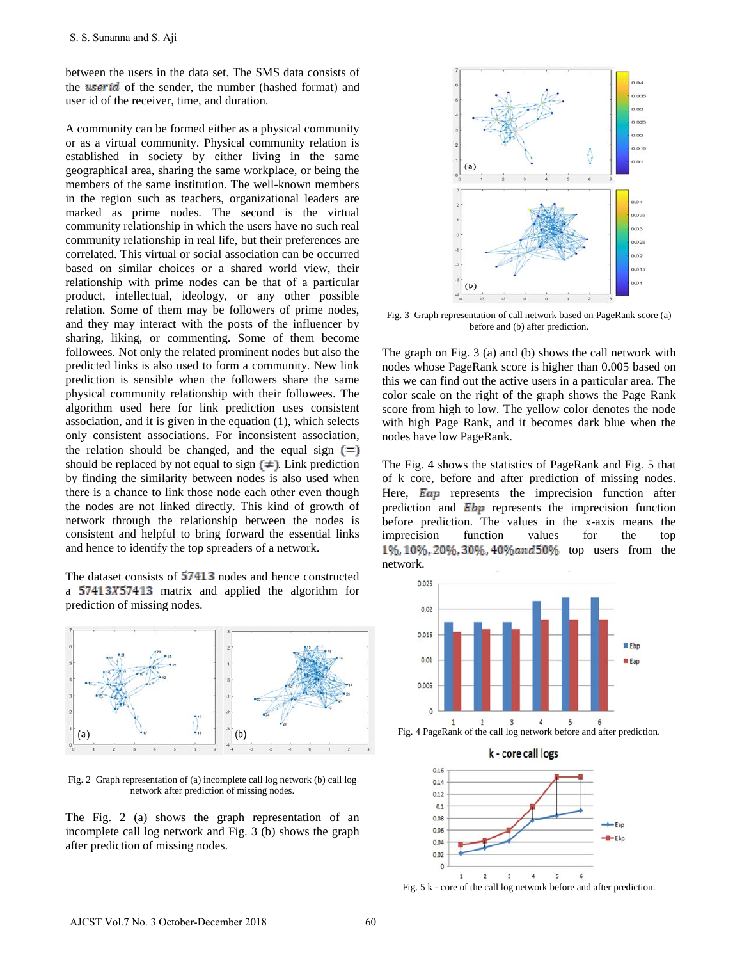between the users in the data set. The SMS data consists of the **userid** of the sender, the number (hashed format) and user id of the receiver, time, and duration.

A community can be formed either as a physical community or as a virtual community. Physical community relation is established in society by either living in the same geographical area, sharing the same workplace, or being the members of the same institution. The well-known members in the region such as teachers, organizational leaders are marked as prime nodes. The second is the virtual community relationship in which the users have no such real community relationship in real life, but their preferences are correlated. This virtual or social association can be occurred based on similar choices or a shared world view, their relationship with prime nodes can be that of a particular product, intellectual, ideology, or any other possible relation. Some of them may be followers of prime nodes, and they may interact with the posts of the influencer by sharing, liking, or commenting. Some of them become followees. Not only the related prominent nodes but also the predicted links is also used to form a community. New link prediction is sensible when the followers share the same physical community relationship with their followees. The algorithm used here for link prediction uses consistent association, and it is given in the equation (1), which selects only consistent associations. For inconsistent association, the relation should be changed, and the equal sign  $\equiv$ should be replaced by not equal to sign  $[\neq]$ . Link prediction by finding the similarity between nodes is also used when there is a chance to link those node each other even though the nodes are not linked directly. This kind of growth of network through the relationship between the nodes is consistent and helpful to bring forward the essential links and hence to identify the top spreaders of a network. S. S. Sunanna and S. Aji<br>
setween the users in the data set. The SMS drat consists of<br>
tetween the users in the data set. The SMS drat consists of<br>
terms and the set of the sender. It most much considered in community<br>
an

The dataset consists of  $57413$  nodes and hence constructed a 57413X57413 matrix and applied the algorithm for prediction of missing nodes.



Fig. 2 Graph representation of (a) incomplete call log network (b) call log network after prediction of missing nodes.

The Fig. 2 (a) shows the graph representation of an incomplete call log network and Fig. 3 (b) shows the graph after prediction of missing nodes.



Fig. 3 Graph representation of call network based on PageRank score (a) before and (b) after prediction.

The graph on Fig. 3 (a) and (b) shows the call network with nodes whose PageRank score is higher than 0.005 based on this we can find out the active users in a particular area. The color scale on the right of the graph shows the Page Rank score from high to low. The yellow color denotes the node with high Page Rank, and it becomes dark blue when the nodes have low PageRank.

The Fig. 4 shows the statistics of PageRank and Fig. 5 that of k core, before and after prediction of missing nodes. Here,  $\overline{Eqp}$  represents the imprecision function after prediction and  $\overline{Ebp}$  represents the imprecision function before prediction. The values in the x-axis means the imprecision function values for the top 1%, 10%, 20%, 30%, 40% and 50% top users from the network.





Fig. 5 k - core of the call log network before and after prediction.